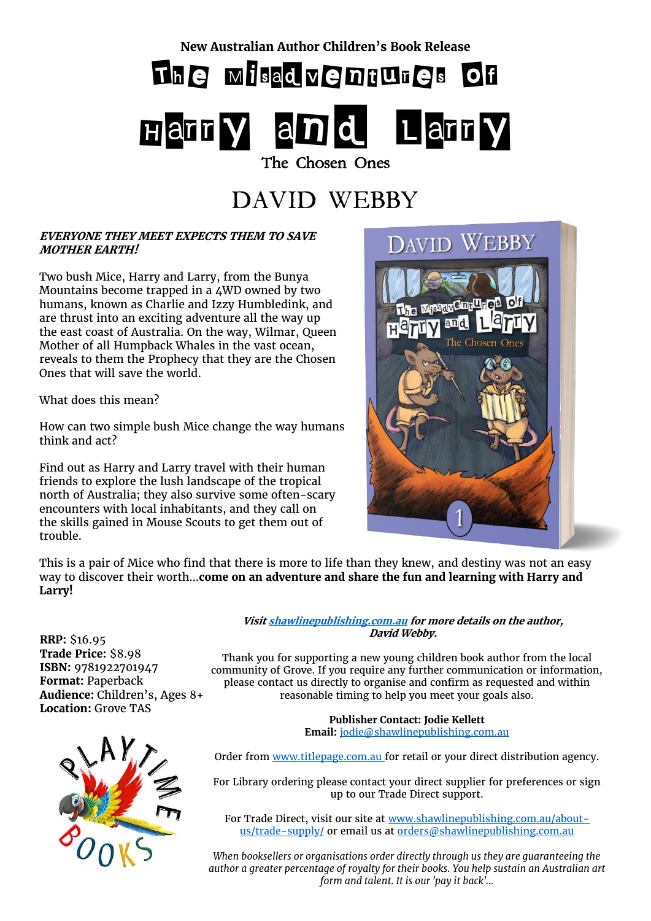**New Australian Author Children's Book Release**

# The Misadventures of

# Harry and Larry The Chosen Ones

## DAVID WEBBY

### **EVERYONE THEY MEET EXPECTS THEM TO SAVE MOTHER EARTH!**

Two bush Mice, Harry and Larry, from the Bunya Mountains become trapped in a 4WD owned by two humans, known as Charlie and Izzy Humbledink, and are thrust into an exciting adventure all the way up the east coast of Australia. On the way, Wilmar, Queen Mother of all Humpback Whales in the vast ocean, reveals to them the Prophecy that they are the Chosen Ones that will save the world.

What does this mean?

How can two simple bush Mice change the way humans think and act?

Find out as Harry and Larry travel with their human friends to explore the lush landscape of the tropical north of Australia; they also survive some often-scary encounters with local inhabitants, and they call on the skills gained in Mouse Scouts to get them out of trouble.



This is a pair of Mice who find that there is more to life than they knew, and destiny was not an easy way to discover their worth…**come on an adventure and share the fun and learning with Harry and Larry!**

**RRP:** \$16.95 **Trade Price:** \$8.98 **ISBN:** 9781922701947 **Format:** Paperback **Audience:** Children's, Ages 8+ **Location:** Grove TAS



**Visi[t shawlinepublishing.com.au](https://www.shawlinepublishing.com.au/our-titles/childrens-books/display/173-the-misadventures-of-harry-and-larry%3B-the-chosen-ones) for more details on the author, David Webby.**

Thank you for supporting a new young children book author from the local community of Grove. If you require any further communication or information, please contact us directly to organise and confirm as requested and within reasonable timing to help you meet your goals also.

> **Publisher Contact: Jodie Kellett Email:** [jodie@shawlinepublishing.com.au](mailto:jodie@shawlinepublishing.com.au)

Order from [www.titlepage.com.au](http://www.titlepage.com.au/) for retail or your direct distribution agency.

For Library ordering please contact your direct supplier for preferences or sign up to our Trade Direct support.

For Trade Direct, visit our site at [www.shawlinepublishing.com.au/about](http://www.shawlinepublishing.com.au/about-us/trade-supply/)[us/trade-supply/](http://www.shawlinepublishing.com.au/about-us/trade-supply/) or email us at [orders@shawlinepublishing.com.au](mailto:orders@shawlinepublishing.com.au)

*When booksellers or organisations order directly through us they are guaranteeing the author a greater percentage of royalty for their books. You help sustain an Australian art form and talent. It is our 'pay it back'...*